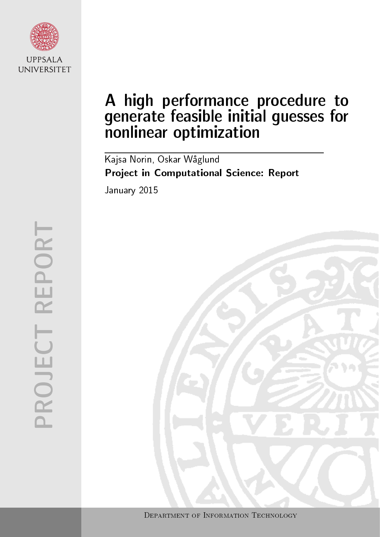

# A high performance procedure to generate feasible initial guesses for nonlinear optimization

Kajsa Norin, Oskar Waglund Project in Computational Science: Report January 2015

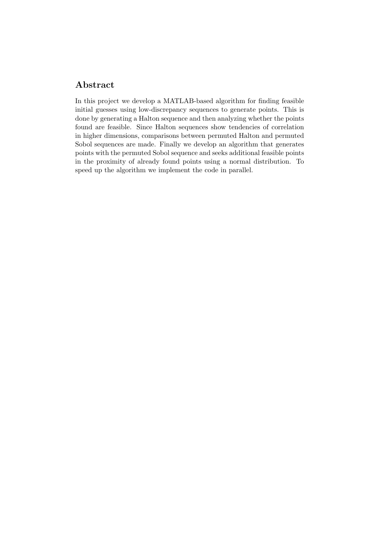# Abstract

In this project we develop a MATLAB-based algorithm for finding feasible initial guesses using low-discrepancy sequences to generate points. This is done by generating a Halton sequence and then analyzing whether the points found are feasible. Since Halton sequences show tendencies of correlation in higher dimensions, comparisons between permuted Halton and permuted Sobol sequences are made. Finally we develop an algorithm that generates points with the permuted Sobol sequence and seeks additional feasible points in the proximity of already found points using a normal distribution. To speed up the algorithm we implement the code in parallel.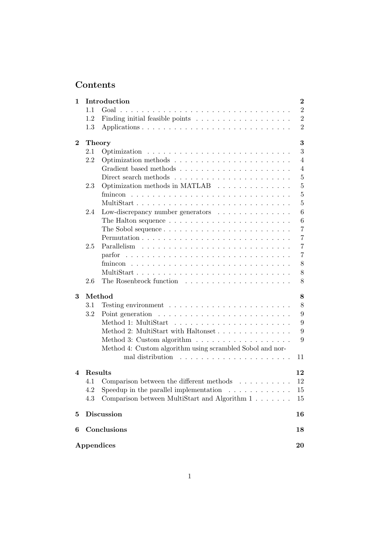# Contents

| 1        |               | Introduction                                                             | $\bf{2}$       |
|----------|---------------|--------------------------------------------------------------------------|----------------|
|          | 1.1           |                                                                          | $\overline{2}$ |
|          | 1.2           |                                                                          | $\overline{2}$ |
|          | 1.3           |                                                                          | $\overline{2}$ |
| $\bf{2}$ | <b>Theory</b> |                                                                          | 3              |
|          | 2.1           |                                                                          | 3              |
|          | 2.2           |                                                                          | $\overline{4}$ |
|          |               |                                                                          | $\overline{4}$ |
|          |               |                                                                          | $\overline{5}$ |
|          | 2.3           | Optimization methods in MATLAB                                           | $\overline{5}$ |
|          |               |                                                                          | $\overline{5}$ |
|          |               | MultiStart                                                               | 5              |
|          | 2.4           | Low-discrepancy number generators                                        | 6              |
|          |               | The Halton sequence $\ldots \ldots \ldots \ldots \ldots \ldots \ldots$   | 6              |
|          |               |                                                                          | $\overline{7}$ |
|          |               |                                                                          | $\overline{7}$ |
|          | 2.5           |                                                                          | $\overline{7}$ |
|          |               |                                                                          | $\overline{7}$ |
|          |               |                                                                          | 8              |
|          |               |                                                                          | 8              |
|          | 2.6           |                                                                          | 8              |
| 3        |               | Method                                                                   | 8              |
|          | 3.1           | Testing environment $\ldots \ldots \ldots \ldots \ldots \ldots \ldots$   | 8              |
|          | 3.2           | Point generation $\dots \dots \dots \dots \dots \dots \dots \dots \dots$ | 9              |
|          |               |                                                                          | 9              |
|          |               | Method 2: MultiStart with Haltonset                                      | 9              |
|          |               | Method 3: Custom algorithm $\ldots \ldots \ldots \ldots \ldots \ldots$   | 9              |
|          |               | Method 4: Custom algorithm using scrambled Sobol and nor-                |                |
|          |               |                                                                          | 11             |
| 4        | Results       |                                                                          | 12             |
|          |               | 4.1 Comparison between the different methods                             | 12             |
|          | 4.2           | Speedup in the parallel implementation $\ldots \ldots \ldots \ldots$     | 15             |
|          | 4.3           | Comparison between MultiStart and Algorithm 1                            | 15             |
| $\bf{5}$ |               | <b>Discussion</b>                                                        | 16             |
| 6        |               | Conclusions                                                              | 18             |
|          |               | Appendices                                                               | 20             |
|          |               |                                                                          |                |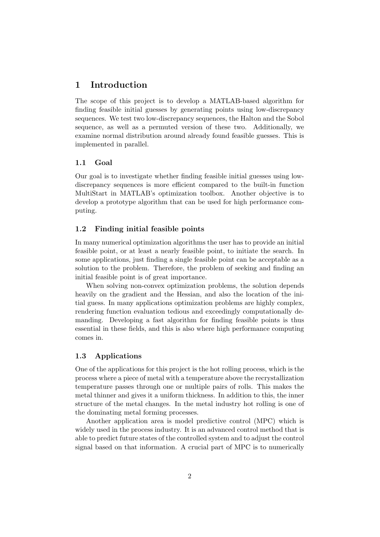# 1 Introduction

The scope of this project is to develop a MATLAB-based algorithm for finding feasible initial guesses by generating points using low-discrepancy sequences. We test two low-discrepancy sequences, the Halton and the Sobol sequence, as well as a permuted version of these two. Additionally, we examine normal distribution around already found feasible guesses. This is implemented in parallel.

#### 1.1 Goal

Our goal is to investigate whether finding feasible initial guesses using lowdiscrepancy sequences is more efficient compared to the built-in function MultiStart in MATLAB's optimization toolbox. Another objective is to develop a prototype algorithm that can be used for high performance computing.

#### 1.2 Finding initial feasible points

In many numerical optimization algorithms the user has to provide an initial feasible point, or at least a nearly feasible point, to initiate the search. In some applications, just finding a single feasible point can be acceptable as a solution to the problem. Therefore, the problem of seeking and finding an initial feasible point is of great importance.

When solving non-convex optimization problems, the solution depends heavily on the gradient and the Hessian, and also the location of the initial guess. In many applications optimization problems are highly complex, rendering function evaluation tedious and exceedingly computationally demanding. Developing a fast algorithm for finding feasible points is thus essential in these fields, and this is also where high performance computing comes in.

#### 1.3 Applications

One of the applications for this project is the hot rolling process, which is the process where a piece of metal with a temperature above the recrystallization temperature passes through one or multiple pairs of rolls. This makes the metal thinner and gives it a uniform thickness. In addition to this, the inner structure of the metal changes. In the metal industry hot rolling is one of the dominating metal forming processes.

Another application area is model predictive control (MPC) which is widely used in the process industry. It is an advanced control method that is able to predict future states of the controlled system and to adjust the control signal based on that information. A crucial part of MPC is to numerically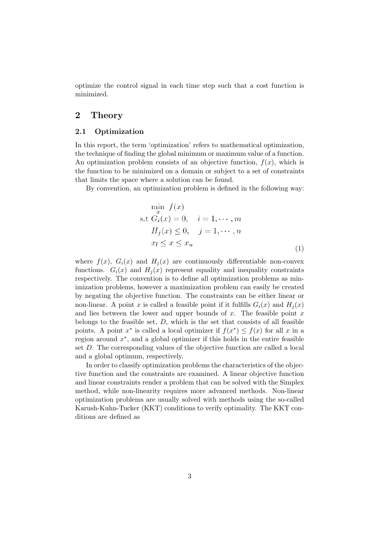optimize the control signal in each time step such that a cost function is minimized.

# 2 Theory

#### 2.1 Optimization

In this report, the term 'optimization' refers to mathematical optimization, the technique of finding the global minimum or maximum value of a function. An optimization problem consists of an objective function,  $f(x)$ , which is the function to be minimized on a domain or subject to a set of constraints that limits the space where a solution can be found.

By convention, an optimization problem is defined in the following way:

$$
\min_{x} f(x)
$$
  
s.t  $G_i(x) = 0$ ,  $i = 1, \dots, m$   
 $H_j(x) \le 0$ ,  $j = 1, \dots, n$   
 $x_l \le x \le x_u$  (1)

where  $f(x)$ ,  $G_i(x)$  and  $H_i(x)$  are continuously differentiable non-convex functions.  $G_i(x)$  and  $H_i(x)$  represent equality and inequality constraints respectively. The convention is to define all optimization problems as minimization problems, however a maximization problem can easily be created by negating the objective function. The constraints can be either linear or non-linear. A point x is called a feasible point if it fulfills  $G_i(x)$  and  $H_i(x)$ and lies between the lower and upper bounds of x. The feasible point  $x$ belongs to the feasible set,  $D$ , which is the set that consists of all feasible points. A point  $x^*$  is called a local optimizer if  $f(x^*) \leq f(x)$  for all x in a region around  $x^*$ , and a global optimizer if this holds in the entire feasible set D. The corresponding values of the objective function are called a local and a global optimum, respectively.

In order to classify optimization problems the characteristics of the objective function and the constraints are examined. A linear objective function and linear constraints render a problem that can be solved with the Simplex method, while non-linearity requires more advanced methods. Non-linear optimization problems are usually solved with methods using the so-called Karush-Kuhn-Tucker (KKT) conditions to verify optimality. The KKT conditions are defined as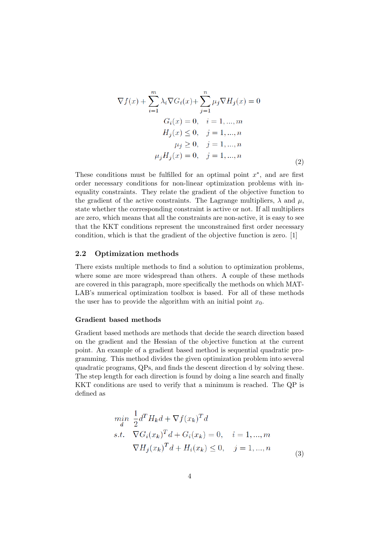$$
\nabla f(x) + \sum_{i=1}^{m} \lambda_i \nabla G_i(x) + \sum_{j=1}^{n} \mu_j \nabla H_j(x) = 0
$$
  
\n
$$
G_i(x) = 0, \quad i = 1, ..., m
$$
  
\n
$$
H_j(x) \le 0, \quad j = 1, ..., n
$$
  
\n
$$
\mu_j \ge 0, \quad j = 1, ..., n
$$
  
\n
$$
\mu_j H_j(x) = 0, \quad j = 1, ..., n
$$
\n(2)

These conditions must be fulfilled for an optimal point  $x^*$ , and are first order necessary conditions for non-linear optimization problems with inequality constraints. They relate the gradient of the objective function to the gradient of the active constraints. The Lagrange multipliers,  $\lambda$  and  $\mu$ , state whether the corresponding constraint is active or not. If all multipliers are zero, which means that all the constraints are non-active, it is easy to see that the KKT conditions represent the unconstrained first order necessary condition, which is that the gradient of the objective function is zero. [1]

#### 2.2 Optimization methods

There exists multiple methods to find a solution to optimization problems, where some are more widespread than others. A couple of these methods are covered in this paragraph, more specifically the methods on which MAT-LAB's numerical optimization toolbox is based. For all of these methods the user has to provide the algorithm with an initial point  $x_0$ .

#### Gradient based methods

Gradient based methods are methods that decide the search direction based on the gradient and the Hessian of the objective function at the current point. An example of a gradient based method is sequential quadratic programming. This method divides the given optimization problem into several quadratic programs, QPs, and finds the descent direction d by solving these. The step length for each direction is found by doing a line search and finally KKT conditions are used to verify that a minimum is reached. The QP is defined as

$$
\min_{d} \frac{1}{2} d^{T} H_{k} d + \nabla f(x_{k})^{T} d
$$
  
s.t. 
$$
\nabla G_{i}(x_{k})^{T} d + G_{i}(x_{k}) = 0, \quad i = 1, ..., m
$$

$$
\nabla H_{j}(x_{k})^{T} d + H_{i}(x_{k}) \leq 0, \quad j = 1, ..., n
$$
\n(3)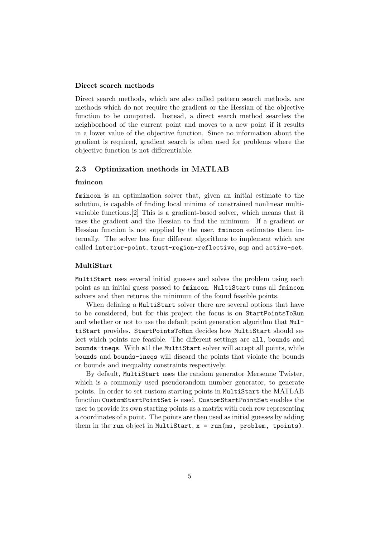#### Direct search methods

Direct search methods, which are also called pattern search methods, are methods which do not require the gradient or the Hessian of the objective function to be computed. Instead, a direct search method searches the neighborhood of the current point and moves to a new point if it results in a lower value of the objective function. Since no information about the gradient is required, gradient search is often used for problems where the objective function is not differentiable.

#### 2.3 Optimization methods in MATLAB

#### fmincon

fmincon is an optimization solver that, given an initial estimate to the solution, is capable of finding local minima of constrained nonlinear multivariable functions.[2] This is a gradient-based solver, which means that it uses the gradient and the Hessian to find the minimum. If a gradient or Hessian function is not supplied by the user, fmincon estimates them internally. The solver has four different algorithms to implement which are called interior-point, trust-region-reflective, sqp and active-set.

#### MultiStart

MultiStart uses several initial guesses and solves the problem using each point as an initial guess passed to fmincon. MultiStart runs all fmincon solvers and then returns the minimum of the found feasible points.

When defining a MultiStart solver there are several options that have to be considered, but for this project the focus is on StartPointsToRun and whether or not to use the default point generation algorithm that MultiStart provides. StartPointsToRun decides how MultiStart should select which points are feasible. The different settings are all, bounds and bounds-ineqs. With all the MultiStart solver will accept all points, while bounds and bounds-ineqs will discard the points that violate the bounds or bounds and inequality constraints respectively.

By default, MultiStart uses the random generator Mersenne Twister, which is a commonly used pseudorandom number generator, to generate points. In order to set custom starting points in MultiStart the MATLAB function CustomStartPointSet is used. CustomStartPointSet enables the user to provide its own starting points as a matrix with each row representing a coordinates of a point. The points are then used as initial guesses by adding them in the run object in MultiStart,  $x = run(ms, problem, topints)$ .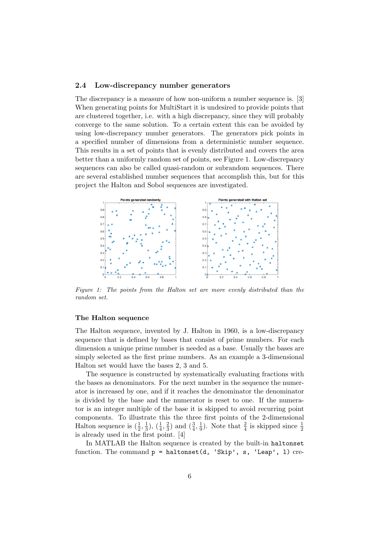#### 2.4 Low-discrepancy number generators

The discrepancy is a measure of how non-uniform a number sequence is. [3] When generating points for MultiStart it is undesired to provide points that are clustered together, i.e. with a high discrepancy, since they will probably converge to the same solution. To a certain extent this can be avoided by using low-discrepancy number generators. The generators pick points in a specified number of dimensions from a deterministic number sequence. This results in a set of points that is evenly distributed and covers the area better than a uniformly random set of points, see Figure 1. Low-discrepancy sequences can also be called quasi-random or subrandom sequences. There are several established number sequences that accomplish this, but for this project the Halton and Sobol sequences are investigated.



Figure 1: The points from the Halton set are more evenly distributed than the random set.

#### The Halton sequence

The Halton sequence, invented by J. Halton in 1960, is a low-discrepancy sequence that is defined by bases that consist of prime numbers. For each dimension a unique prime number is needed as a base. Usually the bases are simply selected as the first prime numbers. As an example a 3-dimensional Halton set would have the bases 2, 3 and 5.

The sequence is constructed by systematically evaluating fractions with the bases as denominators. For the next number in the sequence the numerator is increased by one, and if it reaches the denominator the denominator is divided by the base and the numerator is reset to one. If the numerator is an integer multiple of the base it is skipped to avoid recurring point components. To illustrate this the three first points of the 2-dimensional Halton sequence is  $(\frac{1}{2}, \frac{1}{3})$  $\frac{1}{3}$ ,  $\left(\frac{1}{4}, \frac{2}{3}\right)$  $(\frac{2}{3})$  and  $(\frac{3}{4}, \frac{1}{9})$  $\frac{1}{9}$ ). Note that  $\frac{2}{4}$  is skipped since  $\frac{1}{2}$ is already used in the first point. [4]

In MATLAB the Halton sequence is created by the built-in haltonset function. The command  $p = \text{haltonset}(d, 'Skip', s, 'Leap', 1)$  cre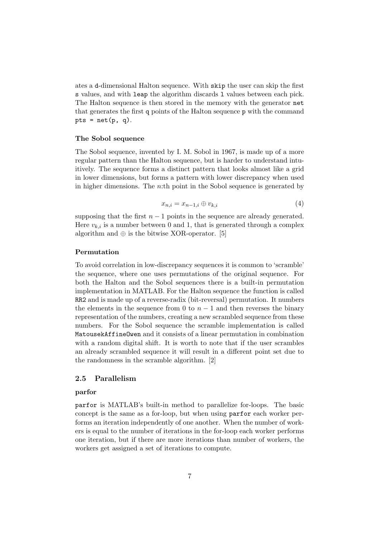ates a d-dimensional Halton sequence. With skip the user can skip the first s values, and with leap the algorithm discards l values between each pick. The Halton sequence is then stored in the memory with the generator net that generates the first q points of the Halton sequence p with the command pts =  $net(p, q)$ .

#### The Sobol sequence

The Sobol sequence, invented by I. M. Sobol in 1967, is made up of a more regular pattern than the Halton sequence, but is harder to understand intuitively. The sequence forms a distinct pattern that looks almost like a grid in lower dimensions, but forms a pattern with lower discrepancy when used in higher dimensions. The *n*:th point in the Sobol sequence is generated by

$$
x_{n,i} = x_{n-1,i} \oplus v_{k,i} \tag{4}
$$

supposing that the first  $n - 1$  points in the sequence are already generated. Here  $v_{k,i}$  is a number between 0 and 1, that is generated through a complex algorithm and  $\oplus$  is the bitwise XOR-operator. [5]

#### Permutation

To avoid correlation in low-discrepancy sequences it is common to 'scramble' the sequence, where one uses permutations of the original sequence. For both the Halton and the Sobol sequences there is a built-in permutation implementation in MATLAB. For the Halton sequence the function is called RR2 and is made up of a reverse-radix (bit-reversal) permutation. It numbers the elements in the sequence from 0 to  $n-1$  and then reverses the binary representation of the numbers, creating a new scrambled sequence from these numbers. For the Sobol sequence the scramble implementation is called MatousekAffineOwen and it consists of a linear permutation in combination with a random digital shift. It is worth to note that if the user scrambles an already scrambled sequence it will result in a different point set due to the randomness in the scramble algorithm. [2]

#### 2.5 Parallelism

#### parfor

parfor is MATLAB's built-in method to parallelize for-loops. The basic concept is the same as a for-loop, but when using parfor each worker performs an iteration independently of one another. When the number of workers is equal to the number of iterations in the for-loop each worker performs one iteration, but if there are more iterations than number of workers, the workers get assigned a set of iterations to compute.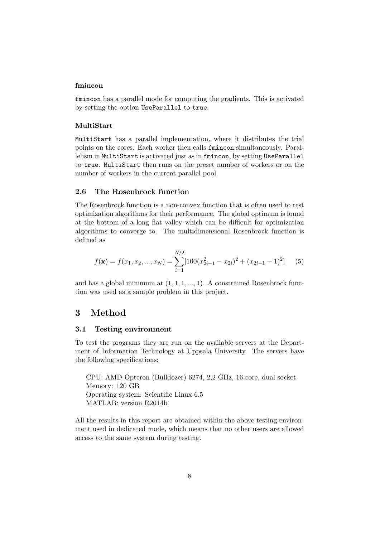#### fmincon

fmincon has a parallel mode for computing the gradients. This is activated by setting the option UseParallel to true.

#### MultiStart

MultiStart has a parallel implementation, where it distributes the trial points on the cores. Each worker then calls fmincon simultaneously. Parallelism in MultiStart is activated just as in fmincon, by setting UseParallel to true. MultiStart then runs on the preset number of workers or on the number of workers in the current parallel pool.

#### 2.6 The Rosenbrock function

The Rosenbrock function is a non-convex function that is often used to test optimization algorithms for their performance. The global optimum is found at the bottom of a long flat valley which can be difficult for optimization algorithms to converge to. The multidimensional Rosenbrock function is defined as

$$
f(\mathbf{x}) = f(x_1, x_2, ..., x_N) = \sum_{i=1}^{N/2} [100(x_{2i-1}^2 - x_{2i})^2 + (x_{2i-1} - 1)^2]
$$
(5)

and has a global minimum at  $(1, 1, 1, ..., 1)$ . A constrained Rosenbrock function was used as a sample problem in this project.

## 3 Method

#### 3.1 Testing environment

To test the programs they are run on the available servers at the Department of Information Technology at Uppsala University. The servers have the following specifications:

CPU: AMD Opteron (Bulldozer) 6274, 2,2 GHz, 16-core, dual socket Memory: 120 GB Operating system: Scientific Linux 6.5 MATLAB: version R2014b

All the results in this report are obtained within the above testing environment used in dedicated mode, which means that no other users are allowed access to the same system during testing.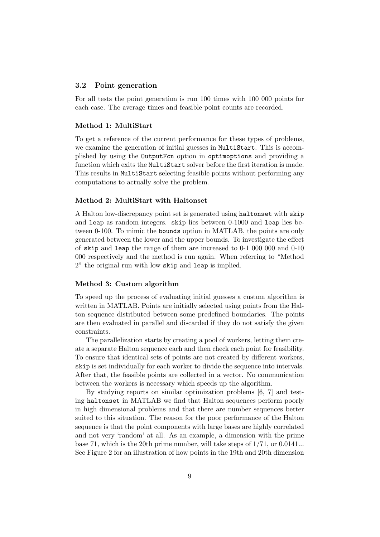#### 3.2 Point generation

For all tests the point generation is run 100 times with 100 000 points for each case. The average times and feasible point counts are recorded.

#### Method 1: MultiStart

To get a reference of the current performance for these types of problems, we examine the generation of initial guesses in MultiStart. This is accomplished by using the OutputFcn option in optimoptions and providing a function which exits the MultiStart solver before the first iteration is made. This results in MultiStart selecting feasible points without performing any computations to actually solve the problem.

#### Method 2: MultiStart with Haltonset

A Halton low-discrepancy point set is generated using haltonset with skip and leap as random integers. skip lies between 0-1000 and leap lies between 0-100. To mimic the bounds option in MATLAB, the points are only generated between the lower and the upper bounds. To investigate the effect of skip and leap the range of them are increased to 0-1 000 000 and 0-10 000 respectively and the method is run again. When referring to "Method 2" the original run with low skip and leap is implied.

#### Method 3: Custom algorithm

To speed up the process of evaluating initial guesses a custom algorithm is written in MATLAB. Points are initially selected using points from the Halton sequence distributed between some predefined boundaries. The points are then evaluated in parallel and discarded if they do not satisfy the given constraints.

The parallelization starts by creating a pool of workers, letting them create a separate Halton sequence each and then check each point for feasibility. To ensure that identical sets of points are not created by different workers, skip is set individually for each worker to divide the sequence into intervals. After that, the feasible points are collected in a vector. No communication between the workers is necessary which speeds up the algorithm.

By studying reports on similar optimization problems [6, 7] and testing haltonset in MATLAB we find that Halton sequences perform poorly in high dimensional problems and that there are number sequences better suited to this situation. The reason for the poor performance of the Halton sequence is that the point components with large bases are highly correlated and not very 'random' at all. As an example, a dimension with the prime base 71, which is the 20th prime number, will take steps of 1/71, or 0.0141... See Figure 2 for an illustration of how points in the 19th and 20th dimension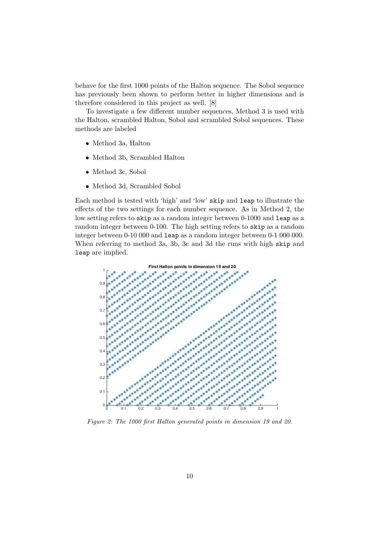behave for the first 1000 points of the Halton sequence. The Sobol sequence has previously been shown to perform better in higher dimensions and is therefore considered in this project as well. [8]

To investigate a few different number sequences, Method 3 is used with the Halton, scrambled Halton, Sobol and scrambled Sobol sequences. These methods are labeled

- Method 3a, Halton
- Method 3b, Scrambled Halton
- Method 3c, Sobol
- Method 3d, Scrambled Sobol

Each method is tested with 'high' and 'low' skip and leap to illustrate the effects of the two settings for each number sequence. As in Method 2, the low setting refers to skip as a random integer between 0-1000 and leap as a random integer between 0-100. The high setting refers to skip as a random When referring to method 3a, 3b, 3c and 3d the runs with high skip and

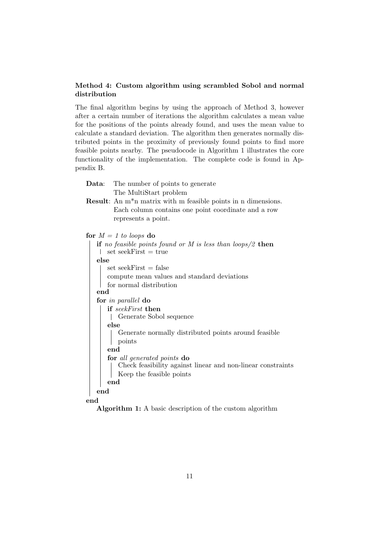### Method 4: Custom algorithm using scrambled Sobol and normal distribution

The final algorithm begins by using the approach of Method 3, however after a certain number of iterations the algorithm calculates a mean value for the positions of the points already found, and uses the mean value to calculate a standard deviation. The algorithm then generates normally distributed points in the proximity of previously found points to find more feasible points nearby. The pseudocode in Algorithm 1 illustrates the core functionality of the implementation. The complete code is found in Appendix B.

| <b>Data:</b> The number of points to generate |
|-----------------------------------------------|
| The MultiStart problem                        |

Result: An m\*n matrix with m feasible points in n dimensions. Each column contains one point coordinate and a row represents a point.

```
for M = 1 to loops do
```

| if no feasible points found or M is less than loops/2 then  |
|-------------------------------------------------------------|
| set seekFirst $=$ true                                      |
| else                                                        |
| $set seekFirst = false$                                     |
| compute mean values and standard deviations                 |
| for normal distribution                                     |
| end                                                         |
| for in parallel do                                          |
| if seekFirst then                                           |
| Generate Sobol sequence                                     |
| else                                                        |
| Generate normally distributed points around feasible        |
| points                                                      |
| end                                                         |
| for all generated points do                                 |
| Check feasibility against linear and non-linear constraints |
| Keep the feasible points                                    |
| end                                                         |
| end                                                         |
|                                                             |

end

Algorithm 1: A basic description of the custom algorithm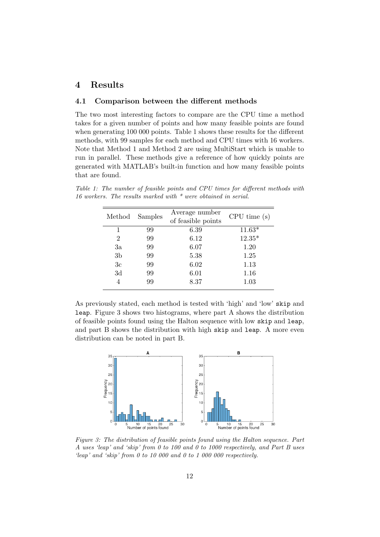# 4 Results

#### 4.1 Comparison between the different methods

The two most interesting factors to compare are the CPU time a method takes for a given number of points and how many feasible points are found when generating 100 000 points. Table 1 shows these results for the different methods, with 99 samples for each method and CPU times with 16 workers. Note that Method 1 and Method 2 are using MultiStart which is unable to run in parallel. These methods give a reference of how quickly points are generated with MATLAB's built-in function and how many feasible points that are found.

| Method         | Samples | Average number<br>of feasible points | CPU time(s) |
|----------------|---------|--------------------------------------|-------------|
| 1              | 99      | 6.39                                 | $11.63*$    |
| $\overline{2}$ | 99      | 6.12                                 | $12.35*$    |
| 3a             | 99      | 6.07                                 | 1.20        |
| 3 <sub>b</sub> | 99      | 5.38                                 | 1.25        |
| 3c             | 99      | 6.02                                 | 1.13        |
| 3d             | 99      | 6.01                                 | 1.16        |
|                | 99      | 8.37                                 | 1.03        |

Table 1: The number of feasible points and CPU times for different methods with 16 workers. The results marked with  $*$  were obtained in serial.

As previously stated, each method is tested with 'high' and 'low' skip and leap. Figure 3 shows two histograms, where part A shows the distribution of feasible points found using the Halton sequence with low skip and leap, and part B shows the distribution with high skip and leap. A more even distribution can be noted in part B.



Figure 3: The distribution of feasible points found using the Halton sequence. Part A uses 'leap' and 'skip' from 0 to 100 and 0 to 1000 respectively, and Part B uses 'leap' and 'skip' from 0 to 10 000 and 0 to 1 000 000 respectively.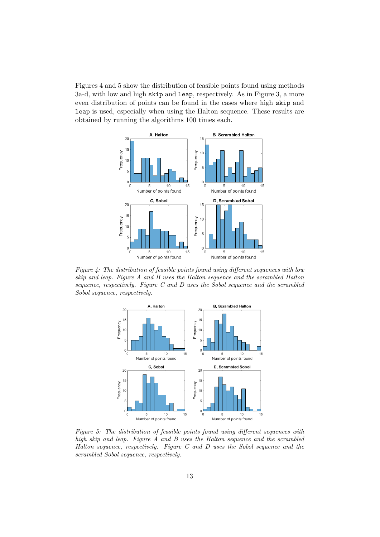Figures 4 and 5 show the distribution of feasible points found using methods 3a-d, with low and high skip and leap, respectively. As in Figure 3, a more even distribution of points can be found in the cases where high skip and leap is used, especially when using the Halton sequence. These results are obtained by running the algorithms 100 times each.



Figure 4: The distribution of feasible points found using different sequences with low skip and leap. Figure A and B uses the Halton sequence and the scrambled Halton sequence, respectively. Figure C and D uses the Sobol sequence and the scrambled Sobol sequence, respectively.



Figure 5: The distribution of feasible points found using different sequences with high skip and leap. Figure A and B uses the Halton sequence and the scrambled Halton sequence, respectively. Figure  $C$  and  $D$  uses the Sobol sequence and the scrambled Sobol sequence, respectively.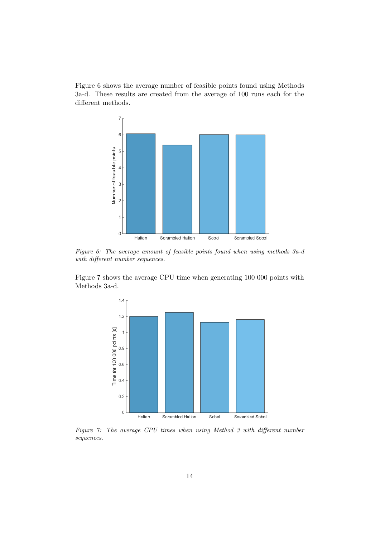Figure 6 shows the average number of feasible points found using Methods 3a-d. These results are created from the average of 100 runs each for the different methods.



Figure 6: The average amount of feasible points found when using methods 3a-d with different number sequences.

Figure 7 shows the average CPU time when generating 100 000 points with Methods 3a-d.



Figure 7: The average CPU times when using Method 3 with different number sequences.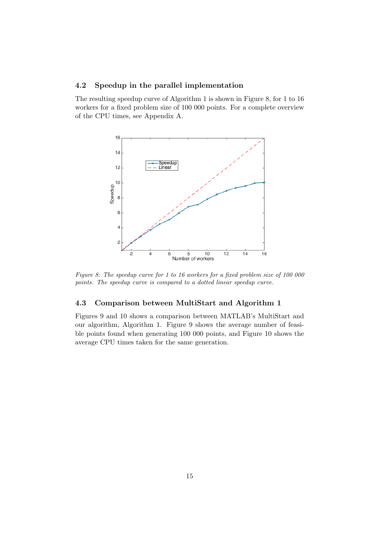#### 4.2 Speedup in the parallel implementation

The resulting speedup curve of Algorithm 1 is shown in Figure 8, for 1 to 16 workers for a fixed problem size of 100 000 points. For a complete overview of the CPU times, see Appendix A.



Figure 8: The speedup curve for 1 to 16 workers for a fixed problem size of 100 000 points. The speedup curve is compared to a dotted linear speedup curve.

#### 4.3 Comparison between MultiStart and Algorithm 1

Figures 9 and 10 shows a comparison between MATLAB's MultiStart and our algorithm, Algorithm 1. Figure 9 shows the average number of feasible points found when generating 100 000 points, and Figure 10 shows the average CPU times taken for the same generation.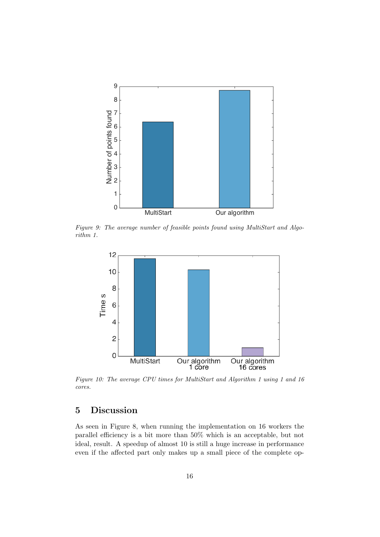

Figure 9: The average number of feasible points found using MultiStart and Algorithm 1.



Figure 10: The average CPU times for MultiStart and Algorithm 1 using 1 and 16 cores.

# 5 Discussion

As seen in Figure 8, when running the implementation on 16 workers the parallel efficiency is a bit more than 50% which is an acceptable, but not ideal, result. A speedup of almost 10 is still a huge increase in performance even if the affected part only makes up a small piece of the complete op-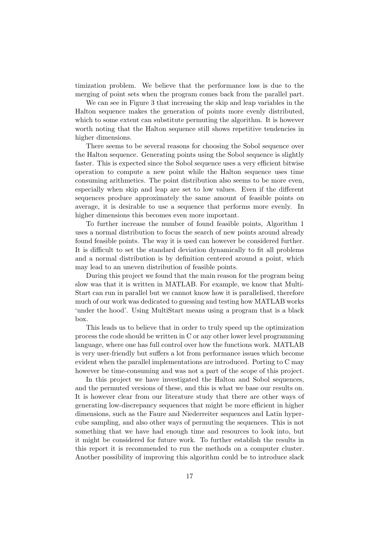timization problem. We believe that the performance loss is due to the merging of point sets when the program comes back from the parallel part.

We can see in Figure 3 that increasing the skip and leap variables in the Halton sequence makes the generation of points more evenly distributed, which to some extent can substitute permuting the algorithm. It is however worth noting that the Halton sequence still shows repetitive tendencies in higher dimensions.

There seems to be several reasons for choosing the Sobol sequence over the Halton sequence. Generating points using the Sobol sequence is slightly faster. This is expected since the Sobol sequence uses a very efficient bitwise operation to compute a new point while the Halton sequence uses time consuming arithmetics. The point distribution also seems to be more even, especially when skip and leap are set to low values. Even if the different sequences produce approximately the same amount of feasible points on average, it is desirable to use a sequence that performs more evenly. In higher dimensions this becomes even more important.

To further increase the number of found feasible points, Algorithm 1 uses a normal distribution to focus the search of new points around already found feasible points. The way it is used can however be considered further. It is difficult to set the standard deviation dynamically to fit all problems and a normal distribution is by definition centered around a point, which may lead to an uneven distribution of feasible points.

During this project we found that the main reason for the program being slow was that it is written in MATLAB. For example, we know that Multi-Start can run in parallel but we cannot know how it is parallelised, therefore much of our work was dedicated to guessing and testing how MATLAB works 'under the hood'. Using MultiStart means using a program that is a black box.

This leads us to believe that in order to truly speed up the optimization process the code should be written in C or any other lower level programming language, where one has full control over how the functions work. MATLAB is very user-friendly but suffers a lot from performance issues which become evident when the parallel implementations are introduced. Porting to C may however be time-consuming and was not a part of the scope of this project.

In this project we have investigated the Halton and Sobol sequences, and the permuted versions of these, and this is what we base our results on. It is however clear from our literature study that there are other ways of generating low-discrepancy sequences that might be more efficient in higher dimensions, such as the Faure and Niederreiter sequences and Latin hypercube sampling, and also other ways of permuting the sequences. This is not something that we have had enough time and resources to look into, but it might be considered for future work. To further establish the results in this report it is recommended to run the methods on a computer cluster. Another possibility of improving this algorithm could be to introduce slack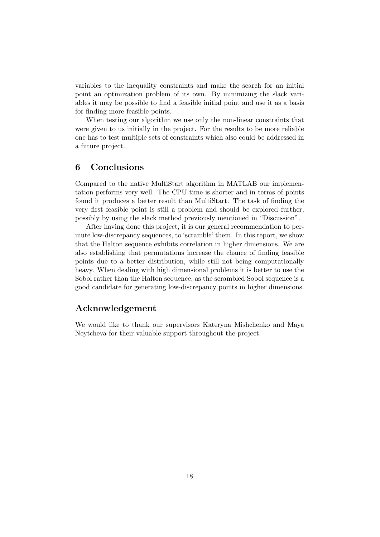variables to the inequality constraints and make the search for an initial point an optimization problem of its own. By minimizing the slack variables it may be possible to find a feasible initial point and use it as a basis for finding more feasible points.

When testing our algorithm we use only the non-linear constraints that were given to us initially in the project. For the results to be more reliable one has to test multiple sets of constraints which also could be addressed in a future project.

# 6 Conclusions

Compared to the native MultiStart algorithm in MATLAB our implementation performs very well. The CPU time is shorter and in terms of points found it produces a better result than MultiStart. The task of finding the very first feasible point is still a problem and should be explored further, possibly by using the slack method previously mentioned in "Discussion".

After having done this project, it is our general recommendation to permute low-discrepancy sequences, to 'scramble' them. In this report, we show that the Halton sequence exhibits correlation in higher dimensions. We are also establishing that permutations increase the chance of finding feasible points due to a better distribution, while still not being computationally heavy. When dealing with high dimensional problems it is better to use the Sobol rather than the Halton sequence, as the scrambled Sobol sequence is a good candidate for generating low-discrepancy points in higher dimensions.

## Acknowledgement

We would like to thank our supervisors Kateryna Mishchenko and Maya Neytcheva for their valuable support throughout the project.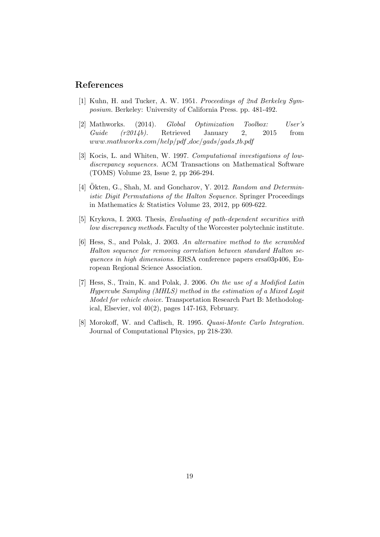## References

- [1] Kuhn, H. and Tucker, A. W. 1951. Proceedings of 2nd Berkeley Symposium. Berkeley: University of California Press. pp. 481-492.
- [2] Mathworks. (2014). Global Optimization Toolbox: User's  $Guide (r2014b)$ . Retrieved January 2, 2015 from  $www.mathworks.com/help/pdf\_doc/gads/gads\_tb.pdf$
- [3] Kocis, L. and Whiten, W. 1997. Computational investigations of lowdiscrepancy sequences. ACM Transactions on Mathematical Software (TOMS) Volume 23, Issue 2, pp 266-294.
- [4] Okten, G., Shah, M. and Goncharov, Y. 2012. Random and Deterministic Digit Permutations of the Halton Sequence. Springer Proceedings in Mathematics & Statistics Volume 23, 2012, pp 609-622.
- [5] Krykova, I. 2003. Thesis, Evaluating of path-dependent securities with low discrepancy methods. Faculty of the Worcester polytechnic institute.
- [6] Hess, S., and Polak, J. 2003. An alternative method to the scrambled Halton sequence for removing correlation between standard Halton sequences in high dimensions. ERSA conference papers ersa03p406, European Regional Science Association.
- [7] Hess, S., Train, K. and Polak, J. 2006. On the use of a Modified Latin Hypercube Sampling (MHLS) method in the estimation of a Mixed Logit Model for vehicle choice. Transportation Research Part B: Methodological, Elsevier, vol  $40(2)$ , pages 147-163, February.
- [8] Morokoff, W. and Caflisch, R. 1995. Quasi-Monte Carlo Integration. Journal of Computational Physics, pp 218-230.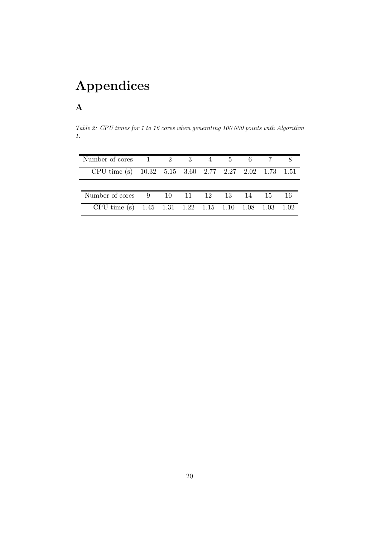# Appendices

# A

Table 2: CPU times for 1 to 16 cores when generating 100 000 points with Algorithm 1.

| Number of cores 1 2 3 4 5 6 7 8                       |  |  |  |  |
|-------------------------------------------------------|--|--|--|--|
| CPU time (s) 10.32 5.15 3.60 2.77 2.27 2.02 1.73 1.51 |  |  |  |  |
|                                                       |  |  |  |  |
| Number of cores 9 10 11 12 13 14 15 16                |  |  |  |  |
| CPU time (s) 1.45 1.31 1.22 1.15 1.10 1.08 1.03 1.02  |  |  |  |  |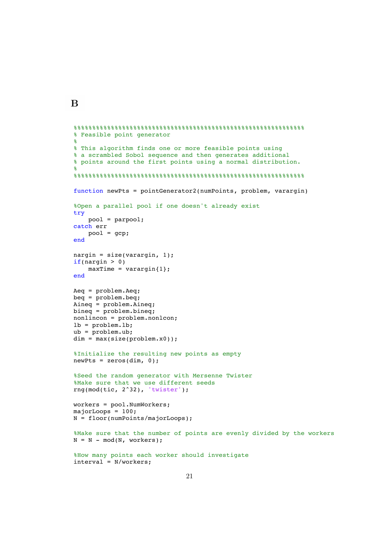```
%%%%%%%%%%%%%%%%%%%%%%%%%%%%%%%%%%%%%%%%%%%%%%%%%%%%%%%%%%%%%%
% Feasible point generator
%
% This algorithm finds one or more feasible points using
% a scrambled Sobol sequence and then generates additional
% points around the first points using a normal distribution.
%
%%%%%%%%%%%%%%%%%%%%%%%%%%%%%%%%%%%%%%%%%%%%%%%%%%%%%%%%%%%%%%
function newPts = pointGenerator2(numPoints, problem, varargin)
%Open a parallel pool if one doesn't already exist
try
     pool = parpool;
catch err
     pool = gcp;
end
nargin = size(varargin, 1);if(nargin > 0)maxTime = varargin{1};
end
Aeq = problem.Aeq;
beq = problem.beq;
Aineq = problem.Aineq;
bineq = problem.bineq;
nonlincon = problem.nonlcon;
lb = problem.lb;
ub = problem.ub;dim = max(size(problem.x0));%Initialize the resulting new points as empty
newPts = zeros(dim, 0);%Seed the random generator with Mersenne Twister
%Make sure that we use different seeds
rng(mod(tic, 2^32), 'twister');
workers = pool.NumWorkers;
majorLoops = 100;
N = floor(numPoints/majorLoops);
%Make sure that the number of points are evenly divided by the workers
N = N - mod(N, worksers);%How many points each worker should investigate
```
B

```
21
```
interval = N/workers;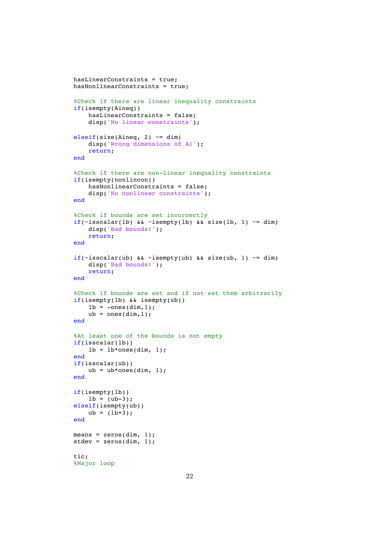```
hasLinearConstraints = true;
hasNonlinearConstraints = true;
%Check if there are linear inequality constraints
if(isempty(Aineq))
     hasLinearConstraints = false;
     disp('No linear constraints');
elseif(size(Aineq, 2) \sim = dim)
     disp('Wrong dimensions of A!');
     return;
end
%Check if there are non-linear inequality constraints
if(isempty(nonlincon))
     hasNonlinearConstraints = false;
    disp('No nonlinear constraints');
end
%Check if bounds are set incorrectly
if(\simisscalar(lb) && \simisempty(lb) && size(lb, 1) \sim = dim)
     disp('Bad bounds!');
     return;
end
if(\tauisscalar(ub) && \tauisempty(ub) && size(ub, 1) \tau= dim)
     disp('Bad bounds!');
     return;
end
%Check if bounds are set and if not set them arbitrarily
if(isempty(lb) && isempty(ub))
    lb = -ones(dim,1);ub = ones(dim,1);
end
%At least one of the bounds is not empty
if(isscalar(lb))
    lb = lb*ones(dim, 1);end
if(isscalar(ub))
    ub = ub*ones(dim, 1);end
if(isempty(lb))
    lb = (ub-3);elseif(isempty(ub))
    ub = (lb + 3);end
means = zeros(dim, 1);statev = zeros(dim, 1);tic;
%Major loop
```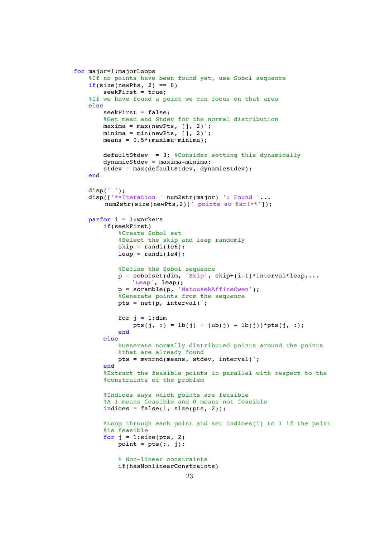```
for major=1:majorLoops
     %If no points have been found yet, use Sobol sequence
    if(size(newPts, 2) == 0)seekFirst = true;
     %If we have found a point we can focus on that area
     else
        seekFirst = false;
         %Get mean and Stdev for the normal distribution
        maxima = max(newPts, [ ] , 2);
        minima = min(newPts, [ ], 2);
        means = 0.5*(maxima + minima);
         defaultStdev = 3; %Consider setting this dynamically
         dynamicStdev = maxima-minima;
         stdev = max(defaultStdev, dynamicStdev);
     end
     disp(' ');
    disp(['**Iteration ' num2str(major) ': Found '...
        num2str(size(newPts,2))' points so far!**']);
     parfor i = 1:workers
         if(seekFirst)
             %Create Sobol set
             %Select the skip and leap randomly
            skip = rand(1e6);leap = randi(1e4); %Define the Sobol sequence
            p = sobolset(dim, 'Skip', skip+(i-1)*interval*leap,...
                 'Leap', leap);
 p = scramble(p, 'MatousekAffineOwen');
 %Generate points from the sequence
             pts = net(p, interval)';
            for j = 1:dim
                pts(j, :) = \text{lb}(j) + (\text{ub}(j) - \text{lb}(j)) *pts(j, :);
             end
         else
             %Generate normally distributed points around the points
             %that are already found
             pts = mvnrnd(means, stdev, interval)';
         end
         %Extract the feasible points in parallel with respect to the
         %constraints of the problem
         %Indices says which points are feasible
         %A 1 means feasible and 0 means not feasible
        indices = false(1, size(pts, 2)); %Loop through each point and set indices(i) to 1 if the point
         %is feasible
        for j = 1: size(pts, 2)
            point = pts(:, j); % Non-linear constraints
             if(hasNonlinearConstraints)
```